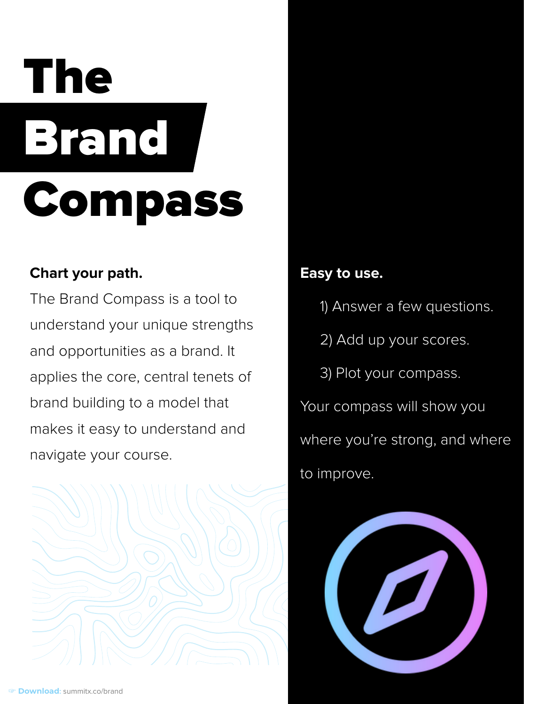## The Brand Compass

#### **Chart your path.**

The Brand Compass is a tool to understand your unique strengths and opportunities as a brand. It applies the core, central tenets of brand building to a model that makes it easy to understand and navigate your course.



#### **Easy to use.**

- 1) Answer a few questions.
- 2) Add up your scores.
- 3) Plot your compass.

Your compass will show you where you're strong, and where to improve.

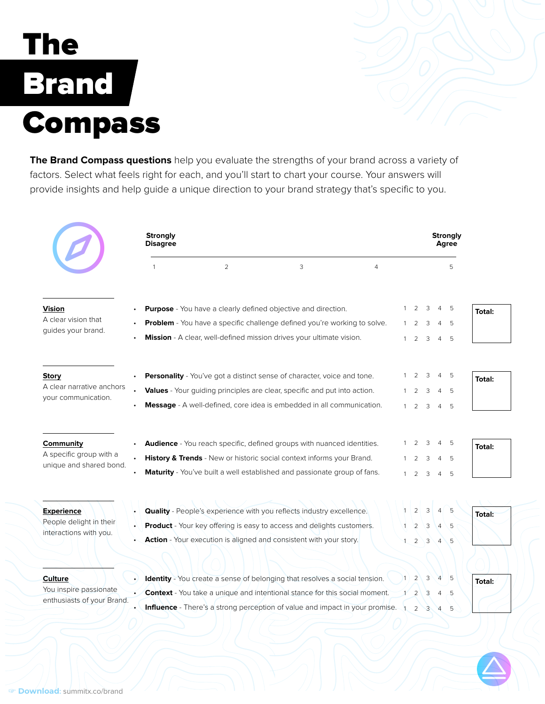### The Brand / **Compass**

**The Brand Compass questions** help you evaluate the strengths of your brand across a variety of factors. Select what feels right for each, and you'll start to chart your course. Your answers will provide insights and help guide a unique direction to your brand strategy that's specific to you.

|                                                                        | <b>Strongly</b><br><b>Disagree</b> |                                                                                                                                                  |                                                                                                                                                                                |                |  | <b>Strongly</b><br><b>Agree</b>           |                          |                                  |            |               |
|------------------------------------------------------------------------|------------------------------------|--------------------------------------------------------------------------------------------------------------------------------------------------|--------------------------------------------------------------------------------------------------------------------------------------------------------------------------------|----------------|--|-------------------------------------------|--------------------------|----------------------------------|------------|---------------|
|                                                                        |                                    | $\overline{2}$                                                                                                                                   | 3                                                                                                                                                                              | $\overline{4}$ |  |                                           |                          |                                  | 5          |               |
| <b>Vision</b><br>A clear vision that<br>guides your brand.             |                                    | <b>Purpose</b> - You have a clearly defined objective and direction.                                                                             |                                                                                                                                                                                |                |  | $1 \quad 2 \quad 3$                       |                          | 45                               |            | <b>Total:</b> |
|                                                                        |                                    | Problem - You have a specific challenge defined you're working to solve.<br>Mission - A clear, well-defined mission drives your ultimate vision. |                                                                                                                                                                                |                |  |                                           | 3<br>$1 \quad 2 \quad 3$ | 4<br>$\overline{4}$              | 5          |               |
| <b>Story</b><br>A clear narrative anchors<br>your communication.       |                                    |                                                                                                                                                  | <b>Personality</b> - You've got a distinct sense of character, voice and tone.<br><b>Values</b> - Your guiding principles are clear, specific and put into action.             |                |  | $1\quad 2$<br>$1 \quad 2 \quad 3 \quad 4$ | 3                        | 4 5                              | - 5        | <b>Total:</b> |
|                                                                        |                                    |                                                                                                                                                  | <b>Message</b> - A well-defined, core idea is embedded in all communication.                                                                                                   |                |  | $1 \quad 2 \quad 3 \quad 4$               |                          |                                  | - 5        |               |
| <b>Community</b><br>A specific group with a<br>unique and shared bond. |                                    |                                                                                                                                                  | <b>Audience</b> - You reach specific, defined groups with nuanced identities.                                                                                                  |                |  | 2                                         | 3                        | 45                               |            | <b>Total:</b> |
|                                                                        |                                    |                                                                                                                                                  | History & Trends - New or historic social context informs your Brand.<br>Maturity - You've built a well established and passionate group of fans.                              |                |  | 2<br>$1\quad 2$                           | 3<br>3                   | $\overline{4}$<br>$\overline{4}$ | - 5<br>- 5 |               |
| <u>Experience</u><br>People delight in their<br>interactions with you. |                                    |                                                                                                                                                  | <b>Quality</b> - People's experience with you reflects industry excellence.                                                                                                    |                |  | $1 \mid 2 \mid 3 \mid$                    |                          |                                  |            | Total:        |
|                                                                        |                                    |                                                                                                                                                  | <b>Product</b> - Your key offering is easy to access and delights customers.<br>Action - Your execution is aligned and consistent with your story.                             |                |  | $\sqrt{2}$ $\sqrt{3}$<br>2                | 3                        | 4<br>$\overline{4}$              | 5<br>5     |               |
| <b>Culture</b><br>You inspire passionate<br>enthusiasts of your Brand. |                                    |                                                                                                                                                  | <b>Identity</b> - You create a sense of belonging that resolves a social tension.                                                                                              |                |  |                                           | 3                        |                                  | 5          | Total:        |
|                                                                        |                                    |                                                                                                                                                  | <b>Context</b> - You take a unique and intentional stance for this social moment.<br><b>Influence</b> - There's a strong perception of value and impact in your promise. 1 2 3 |                |  | 2                                         | 3                        | $\overline{4}$<br>4 5            | 5          |               |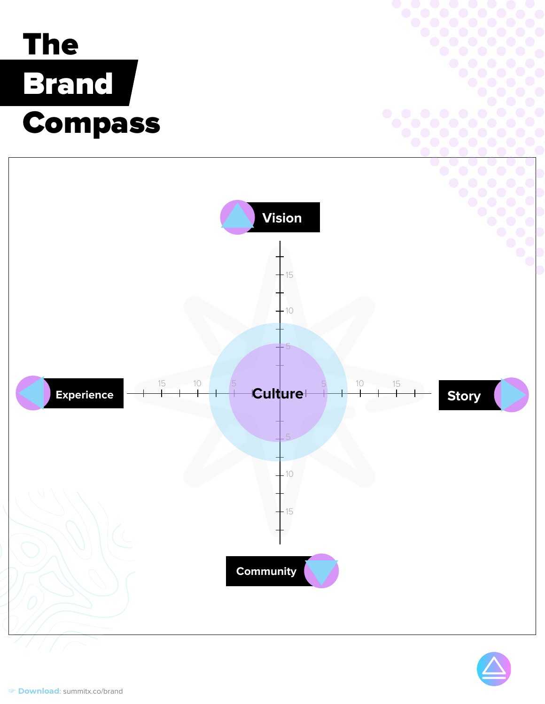## The Brand Compass